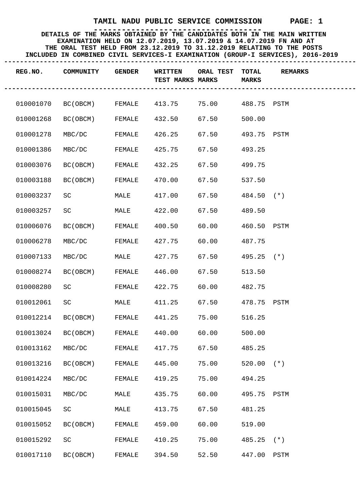| REG.NO.   | COMMUNITY | <b>GENDER</b> | <b>WRITTEN</b><br>TEST MARKS MARKS | ORAL TEST | TOTAL<br><b>MARKS</b> | <b>REMARKS</b> |
|-----------|-----------|---------------|------------------------------------|-----------|-----------------------|----------------|
| 010001070 | BC (OBCM) | FEMALE        | 413.75                             | 75.00     | 488.75 PSTM           |                |
| 010001268 | BC(OBCM)  | FEMALE        | 432.50                             | 67.50     | 500.00                |                |
| 010001278 | MBC/DC    | FEMALE        | 426.25                             | 67.50     | 493.75 PSTM           |                |
| 010001386 | MBC/DC    | FEMALE        | 425.75                             | 67.50     | 493.25                |                |
| 010003076 | BC(OBCM)  | FEMALE        | 432.25                             | 67.50     | 499.75                |                |
| 010003188 | BC(OBCM)  | FEMALE        | 470.00                             | 67.50     | 537.50                |                |
| 010003237 | SC        | MALE          | 417.00                             | 67.50     | $484.50$ (*)          |                |
| 010003257 | SC        | MALE          | 422.00                             | 67.50     | 489.50                |                |
| 010006076 | BC(OBCM)  | FEMALE        | 400.50                             | 60.00     | 460.50 PSTM           |                |
| 010006278 | MBC/DC    | FEMALE        | 427.75                             | 60.00     | 487.75                |                |
| 010007133 | MBC/DC    | MALE          | 427.75                             | 67.50     | $495.25$ (*)          |                |
| 010008274 | BC(OBCM)  | FEMALE        | 446.00                             | 67.50     | 513.50                |                |
| 010008280 | SC        | FEMALE        | 422.75                             | 60.00     | 482.75                |                |
| 010012061 | SC        | MALE          | 411.25                             | 67.50     | 478.75 PSTM           |                |
| 010012214 | BC(OBCM)  | FEMALE        | 441.25                             | 75.00     | 516.25                |                |
| 010013024 | BC(OBCM)  | FEMALE        | 440.00                             | 60.00     | 500.00                |                |
| 010013162 | MBC/DC    | FEMALE        | 417.75                             | 67.50     | 485.25                |                |
| 010013216 | BC (OBCM) | FEMALE        | 445.00                             | 75.00     | $520.00$ (*)          |                |
| 010014224 | MBC/DC    | FEMALE        | 419.25                             | 75.00     | 494.25                |                |
| 010015031 | MBC/DC    | MALE          | 435.75                             | 60.00     | 495.75 PSTM           |                |
| 010015045 | SC        | MALE          | 413.75                             | 67.50     | 481.25                |                |
| 010015052 | BC (OBCM) | FEMALE        | 459.00                             | 60.00     | 519.00                |                |
| 010015292 | SC        | FEMALE        | 410.25                             | 75.00     | 485.25                | $(* )$         |
| 010017110 | BC (OBCM) | FEMALE        | 394.50                             | 52.50     | 447.00                | PSTM           |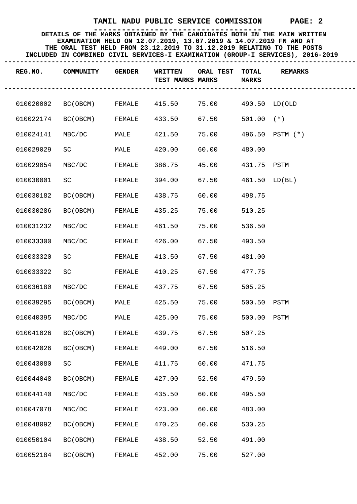| REG.NO.   | COMMUNITY                 | <b>GENDER</b> | WRITTEN<br>TEST MARKS MARKS | <b>ORAL TEST</b>    | <b>TOTAL</b><br><b>MARKS</b> | <b>REMARKS</b>  |
|-----------|---------------------------|---------------|-----------------------------|---------------------|------------------------------|-----------------|
|           | 010020002 BC(OBCM) FEMALE |               | 415.50                      | 75.00 490.50 LD(OLD |                              |                 |
| 010022174 | BC(OBCM)                  | FEMALE        | 433.50                      | 67.50               | $501.00$ (*)                 |                 |
| 010024141 | MBC/DC                    | MALE          | 421.50                      | 75.00               |                              | 496.50 PSTM (*) |
| 010029029 | SC                        | MALE          | 420.00                      | 60.00               | 480.00                       |                 |
| 010029054 | MBC/DC                    | FEMALE        | 386.75                      | 45.00               | 431.75 PSTM                  |                 |
| 010030001 | SC                        | FEMALE        | 394.00                      | 67.50               | $461.50$ LD(BL)              |                 |
| 010030182 | BC(OBCM)                  | FEMALE        | 438.75                      | 60.00               | 498.75                       |                 |
| 010030286 | BC (OBCM)                 | FEMALE        | 435.25                      | 75.00               | 510.25                       |                 |
| 010031232 | MBC/DC                    | FEMALE        | 461.50                      | 75.00               | 536.50                       |                 |
| 010033300 | MBC/DC                    | FEMALE        | 426.00                      | 67.50               | 493.50                       |                 |
| 010033320 | SC                        | FEMALE        | 413.50                      | 67.50               | 481.00                       |                 |
| 010033322 | SC                        | FEMALE        | 410.25                      | 67.50               | 477.75                       |                 |
| 010036180 | MBC/DC                    | FEMALE        | 437.75                      | 67.50               | 505.25                       |                 |
| 010039295 | BC(OBCM)                  | MALE          | 425.50                      | 75.00               | 500.50 PSTM                  |                 |
| 010040395 | MBC/DC MALE               |               | 425.00                      | 75.00               | 500.00 PSTM                  |                 |
| 010041026 | BC(OBCM)                  | FEMALE        | 439.75                      | 67.50               | 507.25                       |                 |
| 010042026 | BC (OBCM)                 | FEMALE        | 449.00                      | 67.50               | 516.50                       |                 |
| 010043080 | SC                        | FEMALE        | 411.75                      | 60.00               | 471.75                       |                 |
| 010044048 | BC (OBCM)                 | FEMALE        | 427.00                      | 52.50               | 479.50                       |                 |
| 010044140 | MBC/DC                    | FEMALE        | 435.50                      | 60.00               | 495.50                       |                 |
| 010047078 | MBC/DC                    | FEMALE        | 423.00                      | 60.00               | 483.00                       |                 |
| 010048092 | BC (OBCM)                 | FEMALE        | 470.25                      | 60.00               | 530.25                       |                 |
| 010050104 | BC (OBCM)                 | FEMALE        | 438.50                      | 52.50               | 491.00                       |                 |
| 010052184 | BC (OBCM)                 | FEMALE        | 452.00                      | 75.00               | 527.00                       |                 |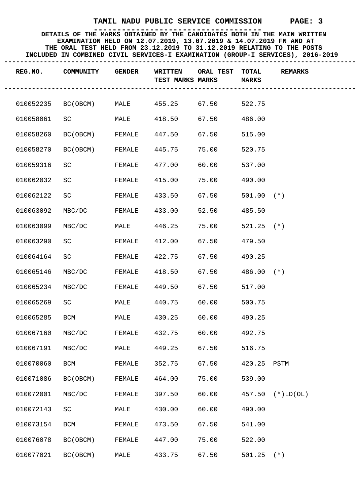| REG.NO.   | COMMUNITY | <b>GENDER</b> | <b>WRITTEN</b><br>TEST MARKS MARKS | ORAL TEST | TOTAL<br><b>MARKS</b> | <b>REMARKS</b> |
|-----------|-----------|---------------|------------------------------------|-----------|-----------------------|----------------|
| 010052235 | BC(OBCM)  | MALE          | 455.25                             | 67.50     | 522.75                |                |
| 010058061 | SC        | MALE          | 418.50                             | 67.50     | 486.00                |                |
| 010058260 | BC (OBCM) | FEMALE        | 447.50                             | 67.50     | 515.00                |                |
| 010058270 | BC(OBCM)  | FEMALE        | 445.75                             | 75.00     | 520.75                |                |
| 010059316 | SC        | FEMALE        | 477.00                             | 60.00     | 537.00                |                |
| 010062032 | SC        | FEMALE        | 415.00                             | 75.00     | 490.00                |                |
| 010062122 | SC        | FEMALE        | 433.50                             | 67.50     | $501.00$ (*)          |                |
| 010063092 | MBC/DC    | FEMALE        | 433.00                             | 52.50     | 485.50                |                |
| 010063099 | MBC/DC    | MALE          | 446.25                             | 75.00     | $521.25$ (*)          |                |
| 010063290 | SC        | FEMALE        | 412.00                             | 67.50     | 479.50                |                |
| 010064164 | SC        | FEMALE        | 422.75                             | 67.50     | 490.25                |                |
| 010065146 | MBC/DC    | FEMALE        | 418.50                             | 67.50     | $486.00$ (*)          |                |
| 010065234 | MBC/DC    | FEMALE        | 449.50                             | 67.50     | 517.00                |                |
| 010065269 | SC        | MALE          | 440.75                             | 60.00     | 500.75                |                |
| 010065285 | BCM       | MALE          | 430.25                             | 60.00     | 490.25                |                |
| 010067160 | MBC/DC    | FEMALE        | 432.75                             | 60.00     | 492.75                |                |
| 010067191 | MBC/DC    | MALE          | 449.25                             | 67.50     | 516.75                |                |
| 010070060 | BCM       | FEMALE        | 352.75                             | 67.50     | 420.25 PSTM           |                |
| 010071086 | BC (OBCM) | FEMALE        | 464.00                             | 75.00     | 539.00                |                |
| 010072001 | MBC/DC    | FEMALE        | 397.50                             | 60.00     | 457.50                | $(*)LD(OL)$    |
| 010072143 | SC        | MALE          | 430.00                             | 60.00     | 490.00                |                |
| 010073154 | BCM       | FEMALE        | 473.50                             | 67.50     | 541.00                |                |
| 010076078 | BC (OBCM) | FEMALE        | 447.00                             | 75.00     | 522.00                |                |
| 010077021 | BC (OBCM) | MALE          | 433.75                             | 67.50     | $501.25$ (*)          |                |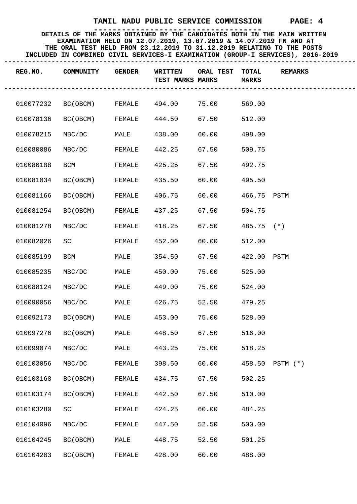| REG.NO.   | COMMUNITY | <b>GENDER</b> | <b>WRITTEN</b><br>TEST MARKS MARKS | ORAL TEST | <b>TOTAL</b><br><b>MARKS</b> | <b>REMARKS</b>  |
|-----------|-----------|---------------|------------------------------------|-----------|------------------------------|-----------------|
| 010077232 | BC(OBCM)  | FEMALE        | 494.00                             | 75.00     | 569.00                       |                 |
| 010078136 | BC (OBCM) | FEMALE        | 444.50                             | 67.50     | 512.00                       |                 |
| 010078215 | MBC/DC    | MALE          | 438.00                             | 60.00     | 498.00                       |                 |
| 010080086 | MBC/DC    | FEMALE        | 442.25                             | 67.50     | 509.75                       |                 |
| 010080188 | BCM       | FEMALE        | 425.25                             | 67.50     | 492.75                       |                 |
| 010081034 | BC(OBCM)  | FEMALE        | 435.50                             | 60.00     | 495.50                       |                 |
| 010081166 | BC(OBCM)  | FEMALE        | 406.75                             | 60.00     | 466.75 PSTM                  |                 |
| 010081254 | BC(OBCM)  | FEMALE        | 437.25                             | 67.50     | 504.75                       |                 |
| 010081278 | MBC/DC    | FEMALE        | 418.25                             | 67.50     | $485.75$ (*)                 |                 |
| 010082026 | SC        | FEMALE        | 452.00                             | 60.00     | 512.00                       |                 |
| 010085199 | BCM       | MALE          | 354.50                             | 67.50     | 422.00 PSTM                  |                 |
| 010085235 | MBC/DC    | MALE          | 450.00                             | 75.00     | 525.00                       |                 |
| 010088124 | MBC/DC    | MALE          | 449.00                             | 75.00     | 524.00                       |                 |
| 010090056 | MBC/DC    | MALE          | 426.75                             | 52.50     | 479.25                       |                 |
| 010092173 | BC(OBCM)  | MALE          | 453.00                             | 75.00     | 528.00                       |                 |
| 010097276 | BC(OBCM)  | MALE          | 448.50                             | 67.50     | 516.00                       |                 |
| 010099074 | MBC/DC    | MALE          | 443.25                             | 75.00     | 518.25                       |                 |
| 010103056 | MBC/DC    | FEMALE        | 398.50                             | 60.00     |                              | 458.50 PSTM (*) |
| 010103168 | BC (OBCM) | FEMALE        | 434.75                             | 67.50     | 502.25                       |                 |
| 010103174 | BC (OBCM) | FEMALE        | 442.50                             | 67.50     | 510.00                       |                 |
| 010103280 | SC        | FEMALE        | 424.25                             | 60.00     | 484.25                       |                 |
| 010104096 | MBC/DC    | FEMALE        | 447.50                             | 52.50     | 500.00                       |                 |
| 010104245 | BC (OBCM) | MALE          | 448.75                             | 52.50     | 501.25                       |                 |
| 010104283 | BC (OBCM) | FEMALE        | 428.00                             | 60.00     | 488.00                       |                 |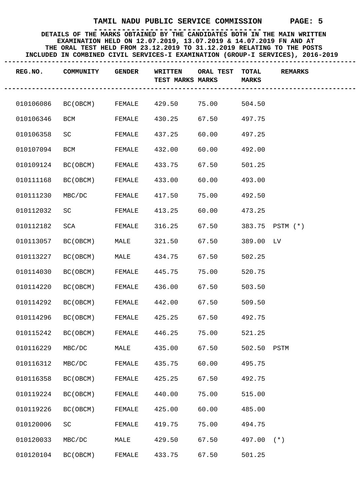| REG.NO.   | COMMUNITY       | <b>GENDER</b> | WRITTEN<br>TEST MARKS MARKS | ORAL TEST | <b>TOTAL</b><br><b>MARKS</b> | <b>REMARKS</b>  |
|-----------|-----------------|---------------|-----------------------------|-----------|------------------------------|-----------------|
| 010106086 | BC(OBCM) FEMALE |               | 429.50                      | 75.00     | 504.50                       |                 |
| 010106346 | BCM             | FEMALE        | 430.25                      | 67.50     | 497.75                       |                 |
| 010106358 | SC              | FEMALE        | 437.25                      | 60.00     | 497.25                       |                 |
| 010107094 | BCM             | FEMALE        | 432.00                      | 60.00     | 492.00                       |                 |
| 010109124 | BC(OBCM)        | FEMALE        | 433.75                      | 67.50     | 501.25                       |                 |
| 010111168 | BC(OBCM)        | FEMALE        | 433.00                      | 60.00     | 493.00                       |                 |
| 010111230 | MBC/DC          | FEMALE        | 417.50                      | 75.00     | 492.50                       |                 |
| 010112032 | SC              | FEMALE        | 413.25                      | 60.00     | 473.25                       |                 |
| 010112182 | SCA             | FEMALE        | 316.25                      | 67.50     |                              | 383.75 PSTM (*) |
| 010113057 | BC(OBCM)        | MALE          | 321.50                      | 67.50     | 389.00 LV                    |                 |
| 010113227 | BC(OBCM)        | MALE          | 434.75                      | 67.50     | 502.25                       |                 |
| 010114030 | BC(OBCM)        | FEMALE        | 445.75                      | 75.00     | 520.75                       |                 |
| 010114220 | BC(OBCM)        | FEMALE        | 436.00                      | 67.50     | 503.50                       |                 |
| 010114292 | BC(OBCM)        | FEMALE        | 442.00                      | 67.50     | 509.50                       |                 |
| 010114296 | BC(OBCM)        | FEMALE        | 425.25                      | 67.50     | 492.75                       |                 |
| 010115242 | BC(OBCM)        | FEMALE        | 446.25                      | 75.00     | 521.25                       |                 |
| 010116229 | MBC/DC          | MALE          | 435.00                      | 67.50     | 502.50 PSTM                  |                 |
| 010116312 | MBC/DC          | FEMALE        | 435.75                      | 60.00     | 495.75                       |                 |
| 010116358 | BC (OBCM)       | FEMALE        | 425.25                      | 67.50     | 492.75                       |                 |
| 010119224 | BC (OBCM)       | FEMALE        | 440.00                      | 75.00     | 515.00                       |                 |
| 010119226 | BC (OBCM)       | FEMALE        | 425.00                      | 60.00     | 485.00                       |                 |
| 010120006 | SC              | FEMALE        | 419.75                      | 75.00     | 494.75                       |                 |
| 010120033 | MBC/DC          | MALE          | 429.50                      | 67.50     | 497.00                       | $(\star)$       |
| 010120104 | BC (OBCM)       | FEMALE        | 433.75                      | 67.50     | 501.25                       |                 |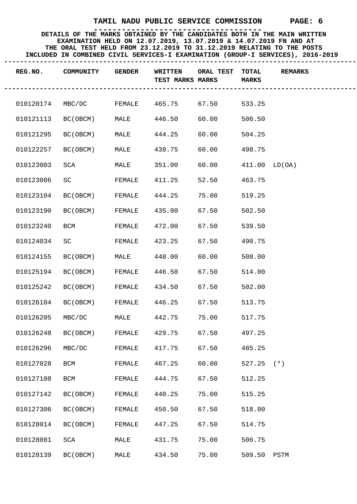| REG.NO.   | COMMUNITY | <b>GENDER</b> | <b>WRITTEN</b><br>TEST MARKS MARKS | ORAL TEST | <b>TOTAL</b><br><b>MARKS</b> | <b>REMARKS</b> |
|-----------|-----------|---------------|------------------------------------|-----------|------------------------------|----------------|
| 010120174 | MBC/DC    | FEMALE        | 465.75                             | 67.50     | 533.25                       |                |
| 010121113 | BC(OBCM)  | MALE          | 446.50                             | 60.00     | 506.50                       |                |
| 010121295 | BC(OBCM)  | MALE          | 444.25                             | 60.00     | 504.25                       |                |
| 010122257 | BC(OBCM)  | MALE          | 438.75                             | 60.00     | 498.75                       |                |
| 010123003 | SCA       | MALE          | 351.00                             | 60.00     | $411.00$ LD(OA)              |                |
| 010123086 | SC        | FEMALE        | 411.25                             | 52.50     | 463.75                       |                |
| 010123104 | BC(OBCM)  | FEMALE        | 444.25                             | 75.00     | 519.25                       |                |
| 010123190 | BC (OBCM) | FEMALE        | 435.00                             | 67.50     | 502.50                       |                |
| 010123240 | BCM       | FEMALE        | 472.00                             | 67.50     | 539.50                       |                |
| 010124034 | SC        | FEMALE        | 423.25                             | 67.50     | 490.75                       |                |
| 010124155 | BC(OBCM)  | MALE          | 448.00                             | 60.00     | 508.00                       |                |
| 010125194 | BC(OBCM)  | FEMALE        | 446.50                             | 67.50     | 514.00                       |                |
| 010125242 | BC(OBCM)  | FEMALE        | 434.50                             | 67.50     | 502.00                       |                |
| 010126104 | BC(OBCM)  | FEMALE        | 446.25                             | 67.50     | 513.75                       |                |
| 010126205 | MBC/DC    | MALE          | 442.75                             | 75.00     | 517.75                       |                |
| 010126248 | BC(OBCM)  | FEMALE        | 429.75                             | 67.50     | 497.25                       |                |
| 010126296 | MBC/DC    | FEMALE        | 417.75                             | 67.50     | 485.25                       |                |
| 010127028 | BCM       | FEMALE        | 467.25                             | 60.00     | $527.25$ (*)                 |                |
| 010127108 | BCM       | FEMALE        | 444.75                             | 67.50     | 512.25                       |                |
| 010127142 | BC (OBCM) | FEMALE        | 440.25                             | 75.00     | 515.25                       |                |
| 010127306 | BC (OBCM) | FEMALE        | 450.50                             | 67.50     | 518.00                       |                |
| 010128014 | BC (OBCM) | FEMALE        | 447.25                             | 67.50     | 514.75                       |                |
| 010128081 | SCA       | MALE          | 431.75                             | 75.00     | 506.75                       |                |
| 010128139 | BC (OBCM) | MALE          | 434.50                             | 75.00     | 509.50 PSTM                  |                |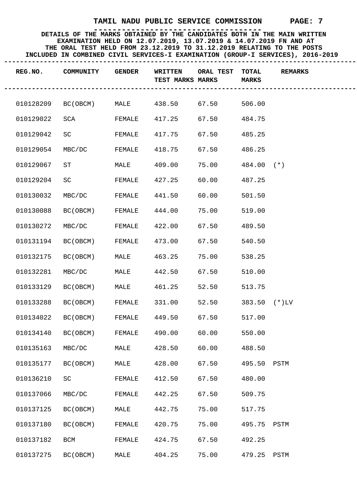| REG.NO.   | COMMUNITY | <b>GENDER</b> | <b>WRITTEN</b><br>TEST MARKS MARKS | ORAL TEST | <b>TOTAL</b><br><b>MARKS</b> | <b>REMARKS</b> |
|-----------|-----------|---------------|------------------------------------|-----------|------------------------------|----------------|
| 010128209 | BC(OBCM)  | MALE          | 438.50                             | 67.50     | 506.00                       |                |
| 010129022 | SCA       | FEMALE        | 417.25                             | 67.50     | 484.75                       |                |
| 010129042 | SC        | FEMALE        | 417.75                             | 67.50     | 485.25                       |                |
| 010129054 | MBC/DC    | FEMALE        | 418.75                             | 67.50     | 486.25                       |                |
| 010129067 | ST        | MALE          | 409.00                             | 75.00     | $484.00$ (*)                 |                |
| 010129204 | SC        | FEMALE        | 427.25                             | 60.00     | 487.25                       |                |
| 010130032 | MBC/DC    | FEMALE        | 441.50                             | 60.00     | 501.50                       |                |
| 010130088 | BC(OBCM)  | FEMALE        | 444.00                             | 75.00     | 519.00                       |                |
| 010130272 | MBC/DC    | FEMALE        | 422.00                             | 67.50     | 489.50                       |                |
| 010131194 | BC(OBCM)  | FEMALE        | 473.00                             | 67.50     | 540.50                       |                |
| 010132175 | BC(OBCM)  | MALE          | 463.25                             | 75.00     | 538.25                       |                |
| 010132281 | MBC/DC    | MALE          | 442.50                             | 67.50     | 510.00                       |                |
| 010133129 | BC(OBCM)  | MALE          | 461.25                             | 52.50     | 513.75                       |                |
| 010133288 | BC(OBCM)  | FEMALE        | 331.00                             | 52.50     | $383.50$ (*)LV               |                |
| 010134022 | BC(OBCM)  | FEMALE        | 449.50                             | 67.50     | 517.00                       |                |
| 010134140 | BC(OBCM)  | FEMALE        | 490.00                             | 60.00     | 550.00                       |                |
| 010135163 | MBC/DC    | MALE          | 428.50                             | 60.00     | 488.50                       |                |
| 010135177 | BC (OBCM) | MALE          | 428.00                             | 67.50     | 495.50 PSTM                  |                |
| 010136210 | SC        | FEMALE        | 412.50                             | 67.50     | 480.00                       |                |
| 010137066 | MBC/DC    | FEMALE        | 442.25                             | 67.50     | 509.75                       |                |
| 010137125 | BC(OBCM)  | MALE          | 442.75                             | 75.00     | 517.75                       |                |
| 010137180 | BC (OBCM) | FEMALE        | 420.75                             | 75.00     | 495.75                       | PSTM           |
| 010137182 | BCM       | FEMALE        | 424.75                             | 67.50     | 492.25                       |                |
| 010137275 | BC (OBCM) | MALE          | 404.25                             | 75.00     | 479.25 PSTM                  |                |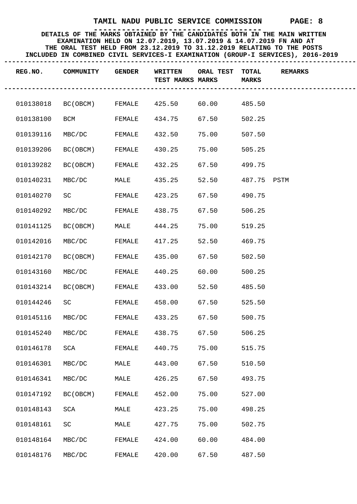| REG.NO.            | <b>COMMUNITY</b>                              | <b>GENDER</b> | WRITTEN<br>TEST MARKS MARKS | ORAL TEST TOTAL<br>-------- | <b>MARKS</b> | <b>REMARKS</b> |
|--------------------|-----------------------------------------------|---------------|-----------------------------|-----------------------------|--------------|----------------|
|                    | 010138018 BC(OBCM) FEMALE 425.50 60.00 485.50 |               |                             |                             |              |                |
| 010138100          | <b>BCM</b>                                    | FEMALE        | 434.75                      | 67.50                       | 502.25       |                |
| 010139116          | MBC/DC                                        | FEMALE        | 432.50                      | 75.00                       | 507.50       |                |
| 010139206          | BC(OBCM)                                      | FEMALE        | 430.25                      | 75.00                       | 505.25       |                |
| 010139282          | BC (OBCM)                                     | FEMALE        | 432.25                      | 67.50                       | 499.75       |                |
| 010140231          | MBC/DC MALE                                   |               | 435.25                      | 52.50                       | 487.75 PSTM  |                |
| 010140270          | SCIENCIES                                     | FEMALE        | 423.25                      | 67.50                       | 490.75       |                |
| 010140292          | MBC/DC FEMALE                                 |               | 438.75                      | 67.50                       | 506.25       |                |
| 010141125 BC(OBCM) |                                               | <b>MALE</b>   | 444.25                      | 75.00                       | 519.25       |                |
| 010142016          | MBC/DC                                        | FEMALE        | 417.25                      | 52.50                       | 469.75       |                |
| 010142170          | BC(OBCM)                                      | FEMALE        | 435.00                      | 67.50                       | 502.50       |                |
| 010143160          | MBC/DC                                        | FEMALE        | 440.25                      | 60.00                       | 500.25       |                |
| 010143214 BC(OBCM) |                                               | FEMALE        | 433.00                      | 52.50                       | 485.50       |                |
| 010144246          | SC                                            | FEMALE        | 458.00                      | 67.50                       | 525.50       |                |
| 010145116          | MBC/DC                                        | FEMALE        | 433.25                      | 67.50                       | 500.75       |                |
| 010145240 MBC/DC   |                                               | FEMALE        | 438.75                      | 67.50                       | 506.25       |                |
| 010146178          | SCA                                           | FEMALE        | 440.75                      | 75.00                       | 515.75       |                |
| 010146301          | MBC/DC                                        | MALE          | 443.00                      | 67.50                       | 510.50       |                |
| 010146341          | MBC/DC                                        | MALE          | 426.25                      | 67.50                       | 493.75       |                |
| 010147192          | BC (OBCM)                                     | FEMALE        | 452.00                      | 75.00                       | 527.00       |                |
| 010148143          | SCA                                           | MALE          | 423.25                      | 75.00                       | 498.25       |                |
| 010148161          | SC                                            | MALE          | 427.75                      | 75.00                       | 502.75       |                |
| 010148164          | MBC/DC                                        | FEMALE        | 424.00                      | 60.00                       | 484.00       |                |
| 010148176          | MBC/DC                                        | FEMALE        | 420.00                      | 67.50                       | 487.50       |                |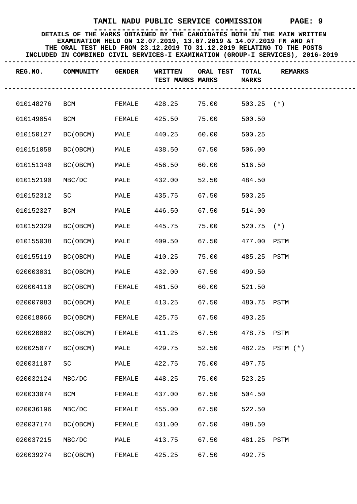| REG.NO.   | COMMUNITY | <b>GENDER</b> | <b>WRITTEN</b><br>TEST MARKS MARKS | ORAL TEST | <b>TOTAL</b><br><b>MARKS</b> | <b>REMARKS</b>  |
|-----------|-----------|---------------|------------------------------------|-----------|------------------------------|-----------------|
| 010148276 | BCM       | FEMALE        | 428.25                             | 75.00     | $503.25$ (*)                 |                 |
| 010149054 | BCM       | FEMALE        | 425.50                             | 75.00     | 500.50                       |                 |
| 010150127 | BC (OBCM) | MALE          | 440.25                             | 60.00     | 500.25                       |                 |
| 010151058 | BC(OBCM)  | MALE          | 438.50                             | 67.50     | 506.00                       |                 |
| 010151340 | BC(OBCM)  | MALE          | 456.50                             | 60.00     | 516.50                       |                 |
| 010152190 | MBC/DC    | MALE          | 432.00                             | 52.50     | 484.50                       |                 |
| 010152312 | SC        | MALE          | 435.75                             | 67.50     | 503.25                       |                 |
| 010152327 | BCM       | MALE          | 446.50                             | 67.50     | 514.00                       |                 |
| 010152329 | BC (OBCM) | MALE          | 445.75                             | 75.00     | $520.75$ (*)                 |                 |
| 010155038 | BC(OBCM)  | MALE          | 409.50                             | 67.50     | 477.00 PSTM                  |                 |
| 010155119 | BC(OBCM)  | MALE          | 410.25                             | 75.00     | 485.25 PSTM                  |                 |
| 020003031 | BC(OBCM)  | MALE          | 432.00                             | 67.50     | 499.50                       |                 |
| 020004110 | BC(OBCM)  | FEMALE        | 461.50                             | 60.00     | 521.50                       |                 |
| 020007083 | BC(OBCM)  | MALE          | 413.25                             | 67.50     | 480.75 PSTM                  |                 |
| 020018066 | BC(OBCM)  | FEMALE        | 425.75                             | 67.50     | 493.25                       |                 |
| 020020002 | BC(OBCM)  | FEMALE        | 411.25                             | 67.50     | 478.75 PSTM                  |                 |
| 020025077 | BC (OBCM) | MALE          | 429.75                             | 52.50     |                              | 482.25 PSTM (*) |
| 020031107 | SC        | MALE          | 422.75                             | 75.00     | 497.75                       |                 |
| 020032124 | MBC/DC    | FEMALE        | 448.25                             | 75.00     | 523.25                       |                 |
| 020033074 | BCM       | FEMALE        | 437.00                             | 67.50     | 504.50                       |                 |
| 020036196 | MBC/DC    | FEMALE        | 455.00                             | 67.50     | 522.50                       |                 |
| 020037174 | BC (OBCM) | FEMALE        | 431.00                             | 67.50     | 498.50                       |                 |
| 020037215 | MBC/DC    | MALE          | 413.75                             | 67.50     | 481.25                       | PSTM            |
| 020039274 | BC (OBCM) | FEMALE        | 425.25                             | 67.50     | 492.75                       |                 |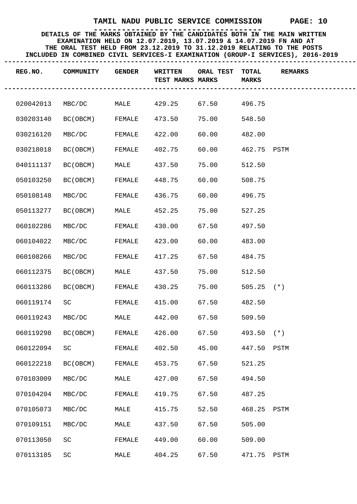| REG.NO.   | COMMUNITY | <b>GENDER</b> | <b>WRITTEN</b><br>TEST MARKS MARKS | ORAL TEST    | TOTAL<br><b>MARKS</b> | <b>REMARKS</b> |
|-----------|-----------|---------------|------------------------------------|--------------|-----------------------|----------------|
| 020042013 | MBC/DC    | MALE          | 429.25                             | 67.50 496.75 |                       |                |
| 030203140 | BC (OBCM) | FEMALE        | 473.50                             | 75.00        | 548.50                |                |
| 030216120 | MBC/DC    | FEMALE        | 422.00                             | 60.00        | 482.00                |                |
| 030218018 | BC(OBCM)  | FEMALE        | 402.75                             | 60.00        | 462.75 PSTM           |                |
| 040111137 | BC(OBCM)  | MALE          | 437.50                             | 75.00        | 512.50                |                |
| 050103250 | BC(OBCM)  | FEMALE        | 448.75                             | 60.00        | 508.75                |                |
| 050108148 | MBC/DC    | FEMALE        | 436.75                             | 60.00        | 496.75                |                |
| 050113277 | BC(OBCM)  | MALE          | 452.25                             | 75.00        | 527.25                |                |
| 060102286 | MBC/DC    | FEMALE        | 430.00                             | 67.50        | 497.50                |                |
| 060104022 | MBC/DC    | FEMALE        | 423.00                             | 60.00        | 483.00                |                |
| 060108266 | MBC/DC    | FEMALE        | 417.25                             | 67.50        | 484.75                |                |
| 060112375 | BC(OBCM)  | MALE          | 437.50                             | 75.00        | 512.50                |                |
| 060113286 | BC(OBCM)  | FEMALE        | 430.25                             | 75.00        | $505.25$ (*)          |                |
| 060119174 | SC        | FEMALE        | 415.00                             | 67.50        | 482.50                |                |
| 060119243 | MBC/DC    | MALE          | 442.00                             | 67.50        | 509.50                |                |
| 060119298 | BC(OBCM)  | FEMALE        | 426.00                             | 67.50        | $493.50$ (*)          |                |
| 060122094 | SC        | FEMALE        | 402.50                             | 45.00        | 447.50 PSTM           |                |
| 060122218 | BC (OBCM) | FEMALE        | 453.75                             | 67.50        | 521.25                |                |
| 070103009 | MBC/DC    | MALE          | 427.00                             | 67.50        | 494.50                |                |
| 070104204 | MBC/DC    | FEMALE        | 419.75                             | 67.50        | 487.25                |                |
| 070105073 | MBC/DC    | MALE          | 415.75                             | 52.50        | 468.25                | PSTM           |
| 070109151 | MBC/DC    | MALE          | 437.50                             | 67.50        | 505.00                |                |
| 070113050 | SC        | FEMALE        | 449.00                             | 60.00        | 509.00                |                |
| 070113185 | SC        | MALE          | 404.25                             | 67.50        | 471.75 PSTM           |                |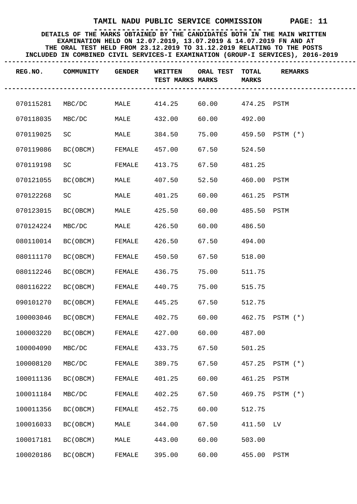| REG.NO.   | COMMUNITY | <b>GENDER</b> | WRITTEN<br>TEST MARKS MARKS | ORAL TEST         | <b>TOTAL</b><br><b>MARKS</b> | <b>REMARKS</b>  |
|-----------|-----------|---------------|-----------------------------|-------------------|------------------------------|-----------------|
| 070115281 | MBC/DC    | MALE          | 414.25                      | 60.00 474.25 PSTM |                              |                 |
| 070118035 | MBC/DC    | MALE          | 432.00                      | 60.00             | 492.00                       |                 |
| 070119025 | SC        | MALE          | 384.50                      | 75.00             |                              | 459.50 PSTM (*) |
| 070119086 | BC(OBCM)  | FEMALE        | 457.00                      | 67.50             | 524.50                       |                 |
| 070119198 | SC        | FEMALE        | 413.75                      | 67.50             | 481.25                       |                 |
| 070121055 | BC(OBCM)  | MALE          | 407.50                      | 52.50             | 460.00 PSTM                  |                 |
| 070122268 | SC        | MALE          | 401.25                      | 60.00             | 461.25 PSTM                  |                 |
| 070123015 | BC(OBCM)  | MALE          | 425.50                      | 60.00             | 485.50 PSTM                  |                 |
| 070124224 | MBC/DC    | MALE          | 426.50                      | 60.00             | 486.50                       |                 |
| 080110014 | BC(OBCM)  | FEMALE        | 426.50                      | 67.50             | 494.00                       |                 |
| 080111170 | BC(OBCM)  | FEMALE        | 450.50                      | 67.50             | 518.00                       |                 |
| 080112246 | BC(OBCM)  | FEMALE        | 436.75                      | 75.00             | 511.75                       |                 |
| 080116222 | BC(OBCM)  | FEMALE        | 440.75                      | 75.00             | 515.75                       |                 |
| 090101270 | BC(OBCM)  | FEMALE        | 445.25                      | 67.50             | 512.75                       |                 |
| 100003046 | BC(OBCM)  | FEMALE        | 402.75                      | 60.00             |                              | 462.75 PSTM (*) |
| 100003220 | BC(OBCM)  | FEMALE        | 427.00                      | 60.00             | 487.00                       |                 |
| 100004090 | MBC/DC    | FEMALE        | 433.75                      | 67.50             | 501.25                       |                 |
| 100008120 | MBC/DC    | FEMALE        | 389.75                      | 67.50             | 457.25                       | $PSTM (*)$      |
| 100011136 | BC (OBCM) | FEMALE        | 401.25                      | 60.00             | 461.25                       | PSTM            |
| 100011184 | MBC/DC    | FEMALE        | 402.25                      | 67.50             | 469.75                       | $PSTM (*)$      |
| 100011356 | BC (OBCM) | FEMALE        | 452.75                      | 60.00             | 512.75                       |                 |
| 100016033 | BC (OBCM) | MALE          | 344.00                      | 67.50             | 411.50                       | LV              |
| 100017181 | BC (OBCM) | MALE          | 443.00                      | 60.00             | 503.00                       |                 |
| 100020186 | BC (OBCM) | FEMALE        | 395.00                      | 60.00             | 455.00 PSTM                  |                 |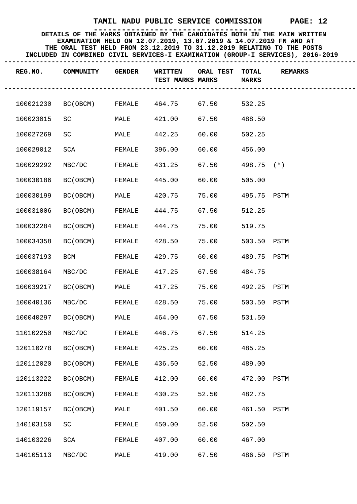| REG.NO.   | COMMUNITY | <b>GENDER</b> | WRITTEN<br>TEST MARKS MARKS | ORAL TEST | <b>TOTAL</b><br><b>MARKS</b> | <b>REMARKS</b> |
|-----------|-----------|---------------|-----------------------------|-----------|------------------------------|----------------|
| 100021230 | BC(OBCM)  | FEMALE        | 464.75                      | 67.50     | 532.25                       |                |
| 100023015 | SC        | MALE          | 421.00                      | 67.50     | 488.50                       |                |
| 100027269 | SC        | MALE          | 442.25                      | 60.00     | 502.25                       |                |
| 100029012 | SCA       | FEMALE        | 396.00                      | 60.00     | 456.00                       |                |
| 100029292 | MBC/DC    | FEMALE        | 431.25                      | 67.50     | $498.75$ (*)                 |                |
| 100030186 | BC(OBCM)  | FEMALE        | 445.00                      | 60.00     | 505.00                       |                |
| 100030199 | BC(OBCM)  | MALE          | 420.75                      | 75.00     | 495.75 PSTM                  |                |
| 100031006 | BC(OBCM)  | FEMALE        | 444.75                      | 67.50     | 512.25                       |                |
| 100032284 | BC (OBCM) | FEMALE        | 444.75                      | 75.00     | 519.75                       |                |
| 100034358 | BC(OBCM)  | FEMALE        | 428.50                      | 75.00     | 503.50 PSTM                  |                |
| 100037193 | BCM       | FEMALE        | 429.75                      | 60.00     | 489.75 PSTM                  |                |
| 100038164 | MBC/DC    | FEMALE        | 417.25                      | 67.50     | 484.75                       |                |
| 100039217 | BC(OBCM)  | MALE          | 417.25                      | 75.00     | 492.25 PSTM                  |                |
| 100040136 | MBC/DC    | FEMALE        | 428.50                      | 75.00     | 503.50 PSTM                  |                |
| 100040297 | BC(OBCM)  | MALE          | 464.00                      | 67.50     | 531.50                       |                |
| 110102250 | MBC/DC    | FEMALE        | 446.75                      | 67.50     | 514.25                       |                |
| 120110278 | BC (OBCM) | FEMALE        | 425.25                      | 60.00     | 485.25                       |                |
| 120112020 | BC (OBCM) | FEMALE        | 436.50                      | 52.50     | 489.00                       |                |
| 120113222 | BC (OBCM) | FEMALE        | 412.00                      | 60.00     | 472.00 PSTM                  |                |
| 120113286 | BC (OBCM) | FEMALE        | 430.25                      | 52.50     | 482.75                       |                |
| 120119157 | BC (OBCM) | MALE          | 401.50                      | 60.00     | 461.50 PSTM                  |                |
| 140103150 | SC        | FEMALE        | 450.00                      | 52.50     | 502.50                       |                |
| 140103226 | SCA       | FEMALE        | 407.00                      | 60.00     | 467.00                       |                |
| 140105113 | MBC/DC    | MALE          | 419.00                      | 67.50     | 486.50 PSTM                  |                |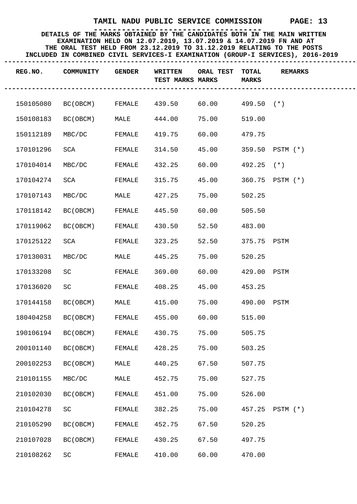| REG.NO.   | COMMUNITY | <b>GENDER</b> | WRITTEN<br>TEST MARKS MARKS | ORAL TEST              | TOTAL<br><b>MARKS</b> | <b>REMARKS</b>  |
|-----------|-----------|---------------|-----------------------------|------------------------|-----------------------|-----------------|
| 150105080 | BC(OBCM)  | FEMALE        | 439.50                      | $60.00$ $499.50$ $(*)$ |                       |                 |
| 150108183 | BC (OBCM) | MALE          | 444.00                      | 75.00                  | 519.00                |                 |
| 150112189 | MBC/DC    | FEMALE        | 419.75                      | 60.00                  | 479.75                |                 |
| 170101296 | SCA       | FEMALE        | 314.50                      | 45.00                  |                       | 359.50 PSTM (*) |
| 170104014 | MBC/DC    | FEMALE        | 432.25                      | 60.00                  | $492.25$ (*)          |                 |
| 170104274 | SCA       | FEMALE        | 315.75                      | 45.00                  |                       | 360.75 PSTM (*) |
| 170107143 | MBC/DC    | MALE          | 427.25                      | 75.00                  | 502.25                |                 |
| 170118142 | BC(OBCM)  | FEMALE        | 445.50                      | 60.00                  | 505.50                |                 |
| 170119062 | BC(OBCM)  | FEMALE        | 430.50                      | 52.50                  | 483.00                |                 |
| 170125122 | SCA       | FEMALE        | 323.25                      | 52.50                  | 375.75 PSTM           |                 |
| 170130031 | MBC/DC    | MALE          | 445.25                      | 75.00                  | 520.25                |                 |
| 170133208 | SC        | FEMALE        | 369.00                      | 60.00                  | 429.00 PSTM           |                 |
| 170136020 | SC        | FEMALE        | 408.25                      | 45.00                  | 453.25                |                 |
| 170144158 | BC(OBCM)  | MALE          | 415.00                      | 75.00                  | 490.00 PSTM           |                 |
| 180404258 | BC(OBCM)  | FEMALE        | 455.00                      | 60.00                  | 515.00                |                 |
| 190106194 | BC(OBCM)  | FEMALE        | 430.75                      | 75.00                  | 505.75                |                 |
| 200101140 | BC (OBCM) | FEMALE        | 428.25                      | 75.00                  | 503.25                |                 |
| 200102253 | BC (OBCM) | MALE          | 440.25                      | 67.50                  | 507.75                |                 |
| 210101155 | MBC/DC    | MALE          | 452.75                      | 75.00                  | 527.75                |                 |
| 210102030 | BC (OBCM) | FEMALE        | 451.00                      | 75.00                  | 526.00                |                 |
| 210104278 | SC        | FEMALE        | 382.25                      | 75.00                  | 457.25                | PSTM (*)        |
| 210105290 | BC (OBCM) | FEMALE        | 452.75                      | 67.50                  | 520.25                |                 |
| 210107028 | BC (OBCM) | FEMALE        | 430.25                      | 67.50                  | 497.75                |                 |
| 210108262 | SC        | FEMALE        | 410.00                      | 60.00                  | 470.00                |                 |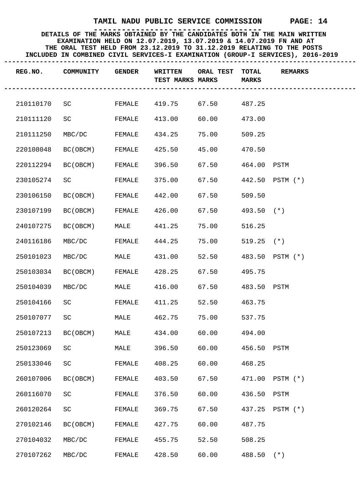| REG.NO.   | COMMUNITY           | <b>GENDER</b> | WRITTEN<br>TEST MARKS MARKS | ORAL TEST    | <b>TOTAL</b><br><b>MARKS</b> | <b>REMARKS</b>  |
|-----------|---------------------|---------------|-----------------------------|--------------|------------------------------|-----------------|
| 210110170 | SC                  | FEMALE        | 419.75                      | 67.50 487.25 |                              |                 |
| 210111120 | SC                  | FEMALE        | 413.00                      | 60.00        | 473.00                       |                 |
| 210111250 | MBC/DC              | FEMALE        | 434.25                      | 75.00        | 509.25                       |                 |
| 220108048 | BC(OBCM)            | FEMALE        | 425.50                      | 45.00        | 470.50                       |                 |
| 220112294 | BC(OBCM)            | FEMALE        | 396.50                      | 67.50        | 464.00 PSTM                  |                 |
| 230105274 | SC                  | FEMALE        | 375.00                      | 67.50        |                              | 442.50 PSTM (*) |
| 230106150 | BC(OBCM)            | FEMALE        | 442.00                      | 67.50        | 509.50                       |                 |
| 230107199 | BC (OBCM)           | FEMALE        | 426.00                      | 67.50        | $493.50$ (*)                 |                 |
| 240107275 | BC(OBCM)            | MALE          | 441.25                      | 75.00        | 516.25                       |                 |
| 240116186 | MBC/DC              | FEMALE        | 444.25                      | 75.00        | $519.25$ (*)                 |                 |
| 250101023 | MBC/DC              | MALE          | 431.00                      | 52.50        |                              | 483.50 PSTM (*) |
| 250103034 | BC(OBCM)            | FEMALE        | 428.25                      | 67.50        | 495.75                       |                 |
| 250104039 | MBC/DC              | MALE          | 416.00                      | 67.50        | 483.50 PSTM                  |                 |
| 250104166 | SC                  | FEMALE        | 411.25                      | 52.50        | 463.75                       |                 |
| 250107077 | SC                  | MALE          | 462.75                      | 75.00        | 537.75                       |                 |
| 250107213 | BC(OBCM)            | MALE          | 434.00                      | 60.00        | 494.00                       |                 |
| 250123069 | SC                  | MALE          | 396.50                      | 60.00        | 456.50 PSTM                  |                 |
| 250133046 | $\operatorname{SC}$ | FEMALE        | 408.25                      | 60.00        | 468.25                       |                 |
| 260107006 | BC (OBCM)           | FEMALE        | 403.50                      | 67.50        |                              | 471.00 PSTM (*) |
| 260116070 | SC                  | FEMALE        | 376.50                      | 60.00        | 436.50                       | PSTM            |
| 260120264 | SC                  | FEMALE        | 369.75                      | 67.50        | 437.25                       | PSTM (*)        |
| 270102146 | BC (OBCM)           | FEMALE        | 427.75                      | 60.00        | 487.75                       |                 |
| 270104032 | MBC/DC              | FEMALE        | 455.75                      | 52.50        | 508.25                       |                 |
| 270107262 | MBC/DC              | FEMALE        | 428.50                      | 60.00        | $488.50$ (*)                 |                 |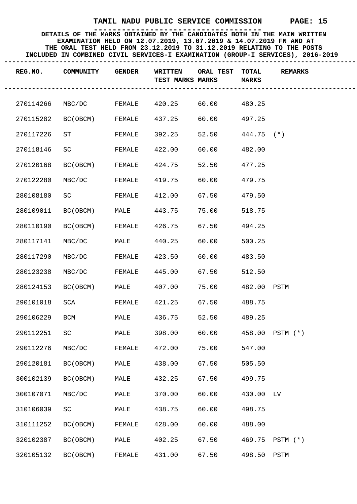| REG.NO.   | COMMUNITY | <b>GENDER</b> | WRITTEN<br>TEST MARKS MARKS | <b>ORAL TEST</b>        | <b>TOTAL</b><br><b>MARKS</b> | <b>REMARKS</b> |
|-----------|-----------|---------------|-----------------------------|-------------------------|------------------------------|----------------|
| 270114266 | MBC/DC    | FEMALE        | 420.25                      | 60.00 480.25            |                              |                |
| 270115282 | BC(OBCM)  | FEMALE        | 437.25                      | 60.00                   | 497.25                       |                |
| 270117226 | ST        | FEMALE        | 392.25                      | 52.50                   | $444.75$ (*)                 |                |
| 270118146 | SC        | FEMALE        | 422.00                      | 60.00                   | 482.00                       |                |
| 270120168 | BC(OBCM)  | FEMALE        | 424.75                      | 52.50                   | 477.25                       |                |
| 270122280 | MBC/DC    | FEMALE        | 419.75                      | 60.00                   | 479.75                       |                |
| 280108180 | SC        | FEMALE        | 412.00                      | 67.50                   | 479.50                       |                |
| 280109011 | BC(OBCM)  | MALE          | 443.75                      | 75.00                   | 518.75                       |                |
| 280110190 | BC(OBCM)  | FEMALE        | 426.75                      | 67.50                   | 494.25                       |                |
| 280117141 | MBC/DC    | MALE          | 440.25                      | 60.00                   | 500.25                       |                |
| 280117290 | MBC/DC    | FEMALE        | 423.50                      | 60.00                   | 483.50                       |                |
| 280123238 | MBC/DC    | FEMALE        | 445.00                      | 67.50                   | 512.50                       |                |
| 280124153 | BC(OBCM)  | MALE          | 407.00                      | 75.00                   | 482.00 PSTM                  |                |
| 290101018 | SCA       | FEMALE        | 421.25                      | 67.50                   | 488.75                       |                |
| 290106229 | BCM       | MALE          | 436.75                      | 52.50                   | 489.25                       |                |
| 290112251 | SC        | MALE          | 398.00                      | 60.00  458.00  PSTM (*) |                              |                |
| 290112276 | MBC/DC    | FEMALE        | 472.00                      | 75.00                   | 547.00                       |                |
| 290120181 | BC (OBCM) | MALE          | 438.00                      | 67.50                   | 505.50                       |                |
| 300102139 | BC (OBCM) | MALE          | 432.25                      | 67.50                   | 499.75                       |                |
| 300107071 | MBC/DC    | MALE          | 370.00                      | 60.00                   | 430.00 LV                    |                |
| 310106039 | SC        | MALE          | 438.75                      | 60.00                   | 498.75                       |                |
| 310111252 | BC (OBCM) | FEMALE        | 428.00                      | 60.00                   | 488.00                       |                |
| 320102387 | BC (OBCM) | MALE          | 402.25                      | 67.50                   | 469.75                       | $PSTM (*)$     |
| 320105132 | BC (OBCM) | FEMALE        | 431.00                      | 67.50                   | 498.50                       | PSTM           |